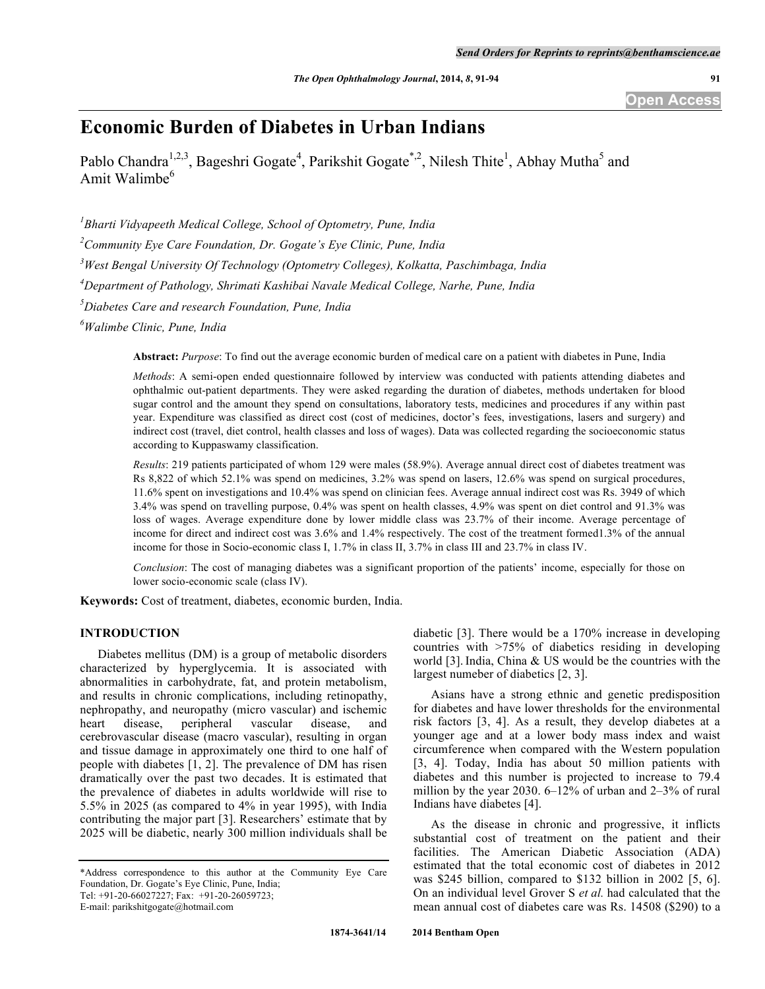# **Economic Burden of Diabetes in Urban Indians**

Pablo Chandra<sup>1,2,3</sup>, Bageshri Gogate<sup>4</sup>, Parikshit Gogate<sup>\*,2</sup>, Nilesh Thite<sup>1</sup>, Abhay Mutha<sup>5</sup> and Amit Walimbe $<sup>6</sup>$ </sup>

*1 Bharti Vidyapeeth Medical College, School of Optometry, Pune, India*

*2 Community Eye Care Foundation, Dr. Gogate's Eye Clinic, Pune, India*

*3 West Bengal University Of Technology (Optometry Colleges), Kolkatta, Paschimbaga, India*

*4 Department of Pathology, Shrimati Kashibai Navale Medical College, Narhe, Pune, India*

*5 Diabetes Care and research Foundation, Pune, India*

*6 Walimbe Clinic, Pune, India*

**Abstract:** *Purpose*: To find out the average economic burden of medical care on a patient with diabetes in Pune, India

*Methods*: A semi-open ended questionnaire followed by interview was conducted with patients attending diabetes and ophthalmic out-patient departments. They were asked regarding the duration of diabetes, methods undertaken for blood sugar control and the amount they spend on consultations, laboratory tests, medicines and procedures if any within past year. Expenditure was classified as direct cost (cost of medicines, doctor's fees, investigations, lasers and surgery) and indirect cost (travel, diet control, health classes and loss of wages). Data was collected regarding the socioeconomic status according to Kuppaswamy classification.

*Results*: 219 patients participated of whom 129 were males (58.9%). Average annual direct cost of diabetes treatment was Rs 8,822 of which 52.1% was spend on medicines, 3.2% was spend on lasers, 12.6% was spend on surgical procedures, 11.6% spent on investigations and 10.4% was spend on clinician fees. Average annual indirect cost was Rs. 3949 of which 3.4% was spend on travelling purpose, 0.4% was spent on health classes, 4.9% was spent on diet control and 91.3% was loss of wages. Average expenditure done by lower middle class was 23.7% of their income. Average percentage of income for direct and indirect cost was 3.6% and 1.4% respectively. The cost of the treatment formed1.3% of the annual income for those in Socio-economic class I, 1.7% in class II, 3.7% in class III and 23.7% in class IV.

*Conclusion*: The cost of managing diabetes was a significant proportion of the patients' income, especially for those on lower socio-economic scale (class IV).

**Keywords:** Cost of treatment, diabetes, economic burden, India.

## **INTRODUCTION**

Diabetes mellitus (DM) is a group of metabolic disorders characterized by hyperglycemia. It is associated with abnormalities in carbohydrate, fat, and protein metabolism, and results in chronic complications, including retinopathy, nephropathy, and neuropathy (micro vascular) and ischemic heart disease, peripheral vascular disease, and cerebrovascular disease (macro vascular), resulting in organ and tissue damage in approximately one third to one half of people with diabetes [1, 2]. The prevalence of DM has risen dramatically over the past two decades. It is estimated that the prevalence of diabetes in adults worldwide will rise to 5.5% in 2025 (as compared to 4% in year 1995), with India contributing the major part [3]. Researchers' estimate that by 2025 will be diabetic, nearly 300 million individuals shall be

diabetic [3]. There would be a 170% increase in developing countries with >75% of diabetics residing in developing world [3]. India, China & US would be the countries with the largest numeber of diabetics [2, 3].

Asians have a strong ethnic and genetic predisposition for diabetes and have lower thresholds for the environmental risk factors [3, 4]. As a result, they develop diabetes at a younger age and at a lower body mass index and waist circumference when compared with the Western population [3, 4]. Today, India has about 50 million patients with diabetes and this number is projected to increase to 79.4 million by the year 2030. 6–12% of urban and 2–3% of rural Indians have diabetes [4].

As the disease in chronic and progressive, it inflicts substantial cost of treatment on the patient and their facilities. The American Diabetic Association (ADA) estimated that the total economic cost of diabetes in 2012 was \$245 billion, compared to \$132 billion in 2002 [5, 6]. On an individual level Grover S *et al.* had calculated that the mean annual cost of diabetes care was Rs. 14508 (\$290) to a

<sup>\*</sup>Address correspondence to this author at the Community Eye Care Foundation, Dr. Gogate's Eye Clinic, Pune, India;

Tel: +91-20-66027227; Fax: +91-20-26059723;

E-mail: parikshitgogate@hotmail.com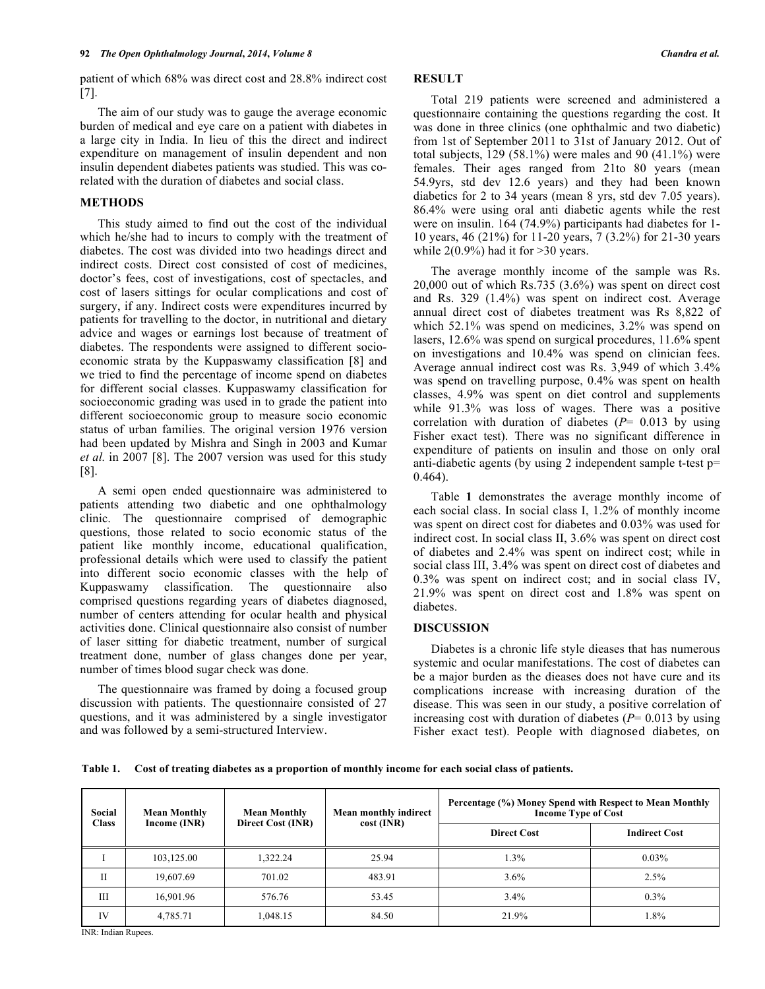patient of which 68% was direct cost and 28.8% indirect cost [7].

The aim of our study was to gauge the average economic burden of medical and eye care on a patient with diabetes in a large city in India. In lieu of this the direct and indirect expenditure on management of insulin dependent and non insulin dependent diabetes patients was studied. This was corelated with the duration of diabetes and social class.

## **METHODS**

This study aimed to find out the cost of the individual which he/she had to incurs to comply with the treatment of diabetes. The cost was divided into two headings direct and indirect costs. Direct cost consisted of cost of medicines, doctor's fees, cost of investigations, cost of spectacles, and cost of lasers sittings for ocular complications and cost of surgery, if any. Indirect costs were expenditures incurred by patients for travelling to the doctor, in nutritional and dietary advice and wages or earnings lost because of treatment of diabetes. The respondents were assigned to different socioeconomic strata by the Kuppaswamy classification [8] and we tried to find the percentage of income spend on diabetes for different social classes. Kuppaswamy classification for socioeconomic grading was used in to grade the patient into different socioeconomic group to measure socio economic status of urban families. The original version 1976 version had been updated by Mishra and Singh in 2003 and Kumar *et al.* in 2007 [8]. The 2007 version was used for this study [8].

A semi open ended questionnaire was administered to patients attending two diabetic and one ophthalmology clinic. The questionnaire comprised of demographic questions, those related to socio economic status of the patient like monthly income, educational qualification, professional details which were used to classify the patient into different socio economic classes with the help of Kuppaswamy classification. The questionnaire also comprised questions regarding years of diabetes diagnosed, number of centers attending for ocular health and physical activities done. Clinical questionnaire also consist of number of laser sitting for diabetic treatment, number of surgical treatment done, number of glass changes done per year, number of times blood sugar check was done.

The questionnaire was framed by doing a focused group discussion with patients. The questionnaire consisted of 27 questions, and it was administered by a single investigator and was followed by a semi-structured Interview.

## **RESULT**

Total 219 patients were screened and administered a questionnaire containing the questions regarding the cost. It was done in three clinics (one ophthalmic and two diabetic) from 1st of September 2011 to 31st of January 2012. Out of total subjects,  $129 (58.1%)$  were males and 90 (41.1%) were females. Their ages ranged from 21to 80 years (mean 54.9yrs, std dev 12.6 years) and they had been known diabetics for 2 to 34 years (mean 8 yrs, std dev 7.05 years). 86.4% were using oral anti diabetic agents while the rest were on insulin. 164 (74.9%) participants had diabetes for 1- 10 years, 46 (21%) for 11-20 years, 7 (3.2%) for 21-30 years while  $2(0.9\%)$  had it for  $>30$  years.

The average monthly income of the sample was Rs. 20,000 out of which Rs.735 (3.6%) was spent on direct cost and Rs. 329 (1.4%) was spent on indirect cost. Average annual direct cost of diabetes treatment was Rs 8,822 of which 52.1% was spend on medicines, 3.2% was spend on lasers, 12.6% was spend on surgical procedures, 11.6% spent on investigations and 10.4% was spend on clinician fees. Average annual indirect cost was Rs. 3,949 of which 3.4% was spend on travelling purpose, 0.4% was spent on health classes, 4.9% was spent on diet control and supplements while 91.3% was loss of wages. There was a positive correlation with duration of diabetes (*P*= 0.013 by using Fisher exact test). There was no significant difference in expenditure of patients on insulin and those on only oral anti-diabetic agents (by using 2 independent sample t-test p= 0.464).

Table **1** demonstrates the average monthly income of each social class. In social class I, 1.2% of monthly income was spent on direct cost for diabetes and 0.03% was used for indirect cost. In social class II, 3.6% was spent on direct cost of diabetes and 2.4% was spent on indirect cost; while in social class III, 3.4% was spent on direct cost of diabetes and 0.3% was spent on indirect cost; and in social class IV, 21.9% was spent on direct cost and 1.8% was spent on diabetes.

## **DISCUSSION**

Diabetes is a chronic life style dieases that has numerous systemic and ocular manifestations. The cost of diabetes can be a major burden as the dieases does not have cure and its complications increase with increasing duration of the disease. This was seen in our study, a positive correlation of increasing cost with duration of diabetes (*P*= 0.013 by using Fisher exact test). People with diagnosed diabetes, on

**Table 1. Cost of treating diabetes as a proportion of monthly income for each social class of patients.**

| Social<br><b>Class</b> | <b>Mean Monthly</b><br>Income (INR) | <b>Mean Monthly</b><br>Direct Cost (INR) | Mean monthly indirect<br>$cost$ (INR) | Percentage (%) Money Spend with Respect to Mean Monthly<br><b>Income Type of Cost</b> |                      |
|------------------------|-------------------------------------|------------------------------------------|---------------------------------------|---------------------------------------------------------------------------------------|----------------------|
|                        |                                     |                                          |                                       | <b>Direct Cost</b>                                                                    | <b>Indirect Cost</b> |
|                        | 103,125.00                          | 1.322.24                                 | 25.94                                 | 1.3%                                                                                  | $0.03\%$             |
| П                      | 19.607.69                           | 701.02                                   | 483.91                                | 3.6%                                                                                  | 2.5%                 |
| Ш                      | 16.901.96                           | 576.76                                   | 53.45                                 | 3.4%                                                                                  | $0.3\%$              |
| IV                     | 4,785.71                            | 1,048.15                                 | 84.50                                 | 21.9%                                                                                 | $.8\%$               |

INR: Indian Rupees.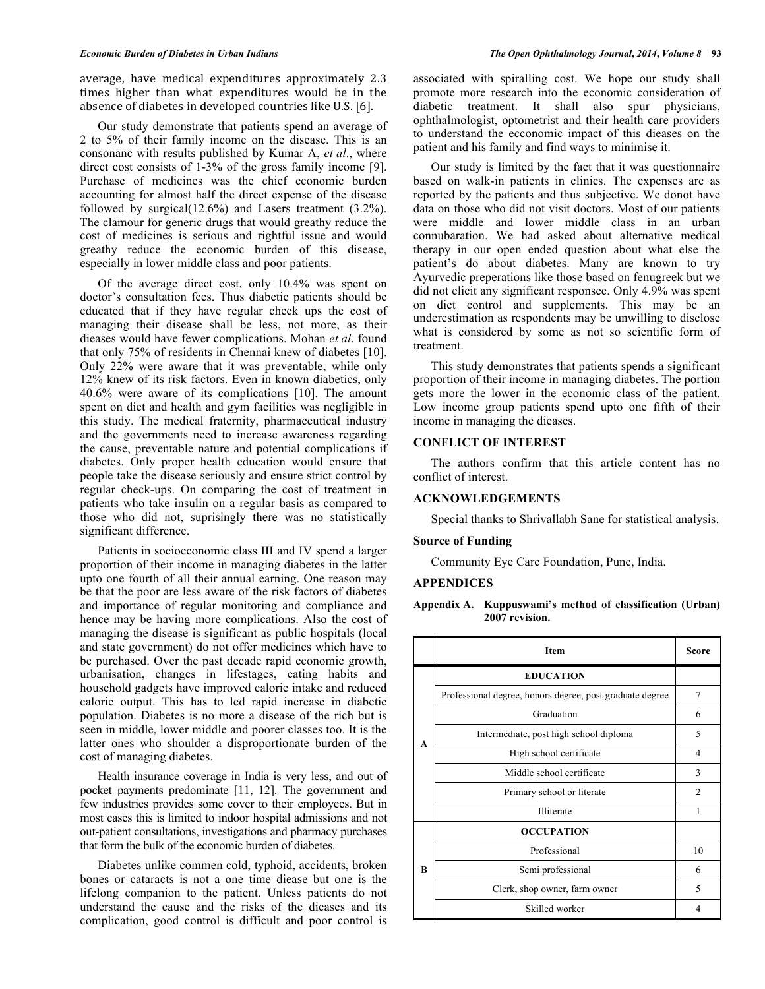average, have medical expenditures approximately 2.3 times higher than what expenditures would be in the absence of diabetes in developed countries like U.S. [6].

Our study demonstrate that patients spend an average of 2 to 5% of their family income on the disease. This is an consonanc with results published by Kumar A, *et al*., where direct cost consists of 1-3% of the gross family income [9]. Purchase of medicines was the chief economic burden accounting for almost half the direct expense of the disease followed by surgical(12.6%) and Lasers treatment (3.2%). The clamour for generic drugs that would greathy reduce the cost of medicines is serious and rightful issue and would greathy reduce the economic burden of this disease, especially in lower middle class and poor patients.

Of the average direct cost, only 10.4% was spent on doctor's consultation fees. Thus diabetic patients should be educated that if they have regular check ups the cost of managing their disease shall be less, not more, as their dieases would have fewer complications. Mohan *et al*. found that only 75% of residents in Chennai knew of diabetes [10]. Only 22% were aware that it was preventable, while only 12% knew of its risk factors. Even in known diabetics, only 40.6% were aware of its complications [10]. The amount spent on diet and health and gym facilities was negligible in this study. The medical fraternity, pharmaceutical industry and the governments need to increase awareness regarding the cause, preventable nature and potential complications if diabetes. Only proper health education would ensure that people take the disease seriously and ensure strict control by regular check-ups. On comparing the cost of treatment in patients who take insulin on a regular basis as compared to those who did not, suprisingly there was no statistically significant difference.

Patients in socioeconomic class III and IV spend a larger proportion of their income in managing diabetes in the latter upto one fourth of all their annual earning. One reason may be that the poor are less aware of the risk factors of diabetes and importance of regular monitoring and compliance and hence may be having more complications. Also the cost of managing the disease is significant as public hospitals (local and state government) do not offer medicines which have to be purchased. Over the past decade rapid economic growth, urbanisation, changes in lifestages, eating habits and household gadgets have improved calorie intake and reduced calorie output. This has to led rapid increase in diabetic population. Diabetes is no more a disease of the rich but is seen in middle, lower middle and poorer classes too. It is the latter ones who shoulder a disproportionate burden of the cost of managing diabetes.

Health insurance coverage in India is very less, and out of pocket payments predominate [11, 12]. The government and few industries provides some cover to their employees. But in most cases this is limited to indoor hospital admissions and not out-patient consultations, investigations and pharmacy purchases that form the bulk of the economic burden of diabetes.

Diabetes unlike commen cold, typhoid, accidents, broken bones or cataracts is not a one time diease but one is the lifelong companion to the patient. Unless patients do not understand the cause and the risks of the dieases and its complication, good control is difficult and poor control is

associated with spiralling cost. We hope our study shall promote more research into the economic consideration of diabetic treatment. It shall also spur physicians, ophthalmologist, optometrist and their health care providers to understand the ecconomic impact of this dieases on the patient and his family and find ways to minimise it.

Our study is limited by the fact that it was questionnaire based on walk-in patients in clinics. The expenses are as reported by the patients and thus subjective. We donot have data on those who did not visit doctors. Most of our patients were middle and lower middle class in an urban connubaration. We had asked about alternative medical therapy in our open ended question about what else the patient's do about diabetes. Many are known to try Ayurvedic preperations like those based on fenugreek but we did not elicit any significant responsee. Only 4.9% was spent on diet control and supplements. This may be an underestimation as respondents may be unwilling to disclose what is considered by some as not so scientific form of treatment.

This study demonstrates that patients spends a significant proportion of their income in managing diabetes. The portion gets more the lower in the economic class of the patient. Low income group patients spend upto one fifth of their income in managing the dieases.

## **CONFLICT OF INTEREST**

The authors confirm that this article content has no conflict of interest.

## **ACKNOWLEDGEMENTS**

Special thanks to Shrivallabh Sane for statistical analysis.

#### **Source of Funding**

Community Eye Care Foundation, Pune, India.

#### **APPENDICES**

## **Appendix A. Kuppuswami's method of classification (Urban) 2007 revision.**

|   | <b>Item</b>                                              | Score          |
|---|----------------------------------------------------------|----------------|
|   | <b>EDUCATION</b>                                         |                |
|   | Professional degree, honors degree, post graduate degree | 7              |
|   | Graduation                                               | 6              |
| A | Intermediate, post high school diploma                   | 5              |
|   | High school certificate                                  | 4              |
|   | Middle school certificate                                | 3              |
|   | Primary school or literate                               | $\overline{c}$ |
|   | Illiterate                                               | 1              |
|   | <b>OCCUPATION</b>                                        |                |
|   | Professional                                             | 10             |
| R | Semi professional                                        | 6              |
|   | Clerk, shop owner, farm owner                            | 5              |
|   | Skilled worker                                           |                |